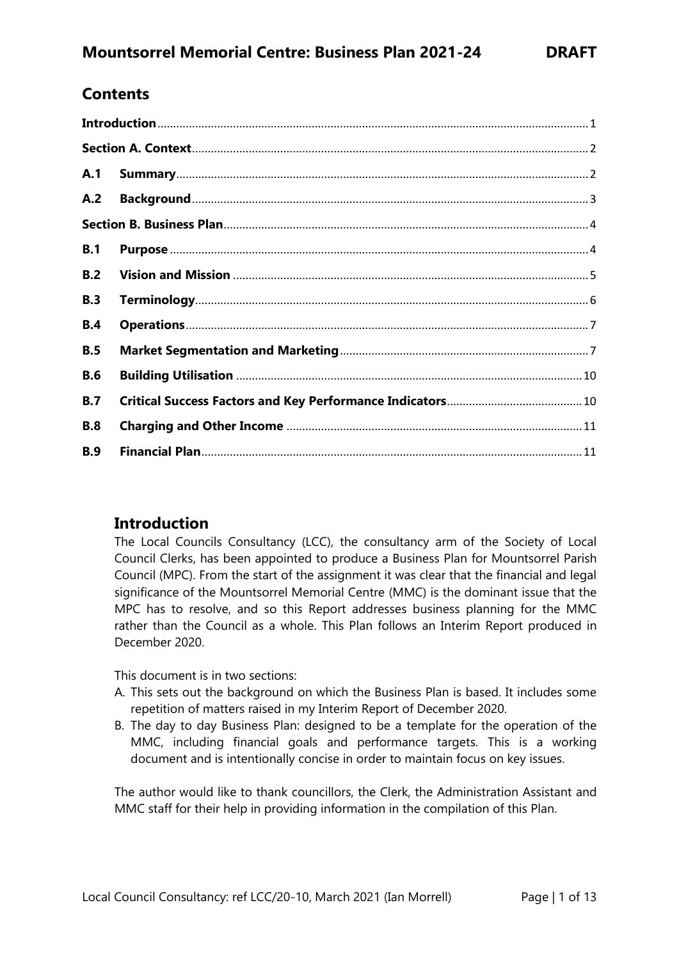# **Contents**

| A.1        |  |  |  |
|------------|--|--|--|
| A.2        |  |  |  |
|            |  |  |  |
| B.1        |  |  |  |
| B.2        |  |  |  |
| B.3        |  |  |  |
| <b>B.4</b> |  |  |  |
| B.5        |  |  |  |
| <b>B.6</b> |  |  |  |
| B.7        |  |  |  |
| <b>B.8</b> |  |  |  |
| <b>B.9</b> |  |  |  |

### <span id="page-0-0"></span>**Introduction**

The Local Councils Consultancy (LCC), the consultancy arm of the Society of Local Council Clerks, has been appointed to produce a Business Plan for Mountsorrel Parish Council (MPC). From the start of the assignment it was clear that the financial and legal significance of the Mountsorrel Memorial Centre (MMC) is the dominant issue that the MPC has to resolve, and so this Report addresses business planning for the MMC rather than the Council as a whole. This Plan follows an Interim Report produced in December 2020.

This document is in two sections:

- A. This sets out the background on which the Business Plan is based. It includes some repetition of matters raised in my Interim Report of December 2020.
- B. The day to day Business Plan: designed to be a template for the operation of the MMC, including financial goals and performance targets. This is a working document and is intentionally concise in order to maintain focus on key issues.

The author would like to thank councillors, the Clerk, the Administration Assistant and MMC staff for their help in providing information in the compilation of this Plan.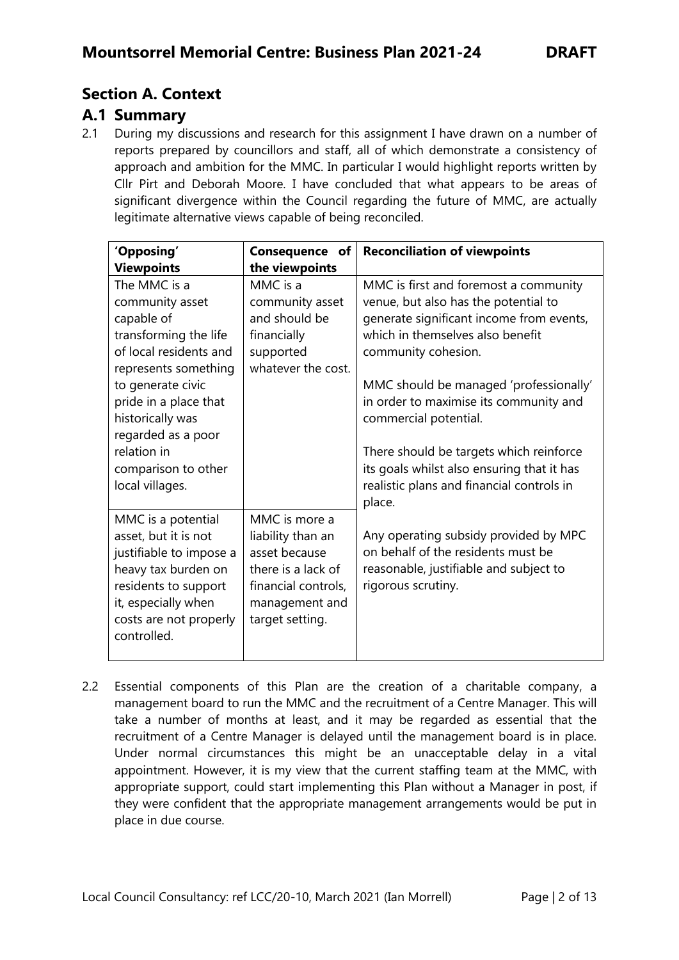# <span id="page-1-0"></span>**Section A. Context**

### <span id="page-1-1"></span>**A.1 Summary**

2.1 During my discussions and research for this assignment I have drawn on a number of reports prepared by councillors and staff, all of which demonstrate a consistency of approach and ambition for the MMC. In particular I would highlight reports written by Cllr Pirt and Deborah Moore. I have concluded that what appears to be areas of significant divergence within the Council regarding the future of MMC, are actually legitimate alternative views capable of being reconciled.

| 'Opposing'                                                                                                                                                                                                                                                                | Consequence of                                                                                                                        | <b>Reconciliation of viewpoints</b>                                                                                                                                                                                                                                                                                                                                                                                                     |
|---------------------------------------------------------------------------------------------------------------------------------------------------------------------------------------------------------------------------------------------------------------------------|---------------------------------------------------------------------------------------------------------------------------------------|-----------------------------------------------------------------------------------------------------------------------------------------------------------------------------------------------------------------------------------------------------------------------------------------------------------------------------------------------------------------------------------------------------------------------------------------|
| <b>Viewpoints</b>                                                                                                                                                                                                                                                         | the viewpoints                                                                                                                        |                                                                                                                                                                                                                                                                                                                                                                                                                                         |
| The MMC is a<br>community asset<br>capable of<br>transforming the life<br>of local residents and<br>represents something<br>to generate civic<br>pride in a place that<br>historically was<br>regarded as a poor<br>relation in<br>comparison to other<br>local villages. | MMC is a<br>community asset<br>and should be<br>financially<br>supported<br>whatever the cost.                                        | MMC is first and foremost a community<br>venue, but also has the potential to<br>generate significant income from events,<br>which in themselves also benefit<br>community cohesion.<br>MMC should be managed 'professionally'<br>in order to maximise its community and<br>commercial potential.<br>There should be targets which reinforce<br>its goals whilst also ensuring that it has<br>realistic plans and financial controls in |
| MMC is a potential<br>asset, but it is not<br>justifiable to impose a<br>heavy tax burden on<br>residents to support<br>it, especially when<br>costs are not properly<br>controlled.                                                                                      | MMC is more a<br>liability than an<br>asset because<br>there is a lack of<br>financial controls,<br>management and<br>target setting. | place.<br>Any operating subsidy provided by MPC<br>on behalf of the residents must be<br>reasonable, justifiable and subject to<br>rigorous scrutiny.                                                                                                                                                                                                                                                                                   |

2.2 Essential components of this Plan are the creation of a charitable company, a management board to run the MMC and the recruitment of a Centre Manager. This will take a number of months at least, and it may be regarded as essential that the recruitment of a Centre Manager is delayed until the management board is in place. Under normal circumstances this might be an unacceptable delay in a vital appointment. However, it is my view that the current staffing team at the MMC, with appropriate support, could start implementing this Plan without a Manager in post, if they were confident that the appropriate management arrangements would be put in place in due course.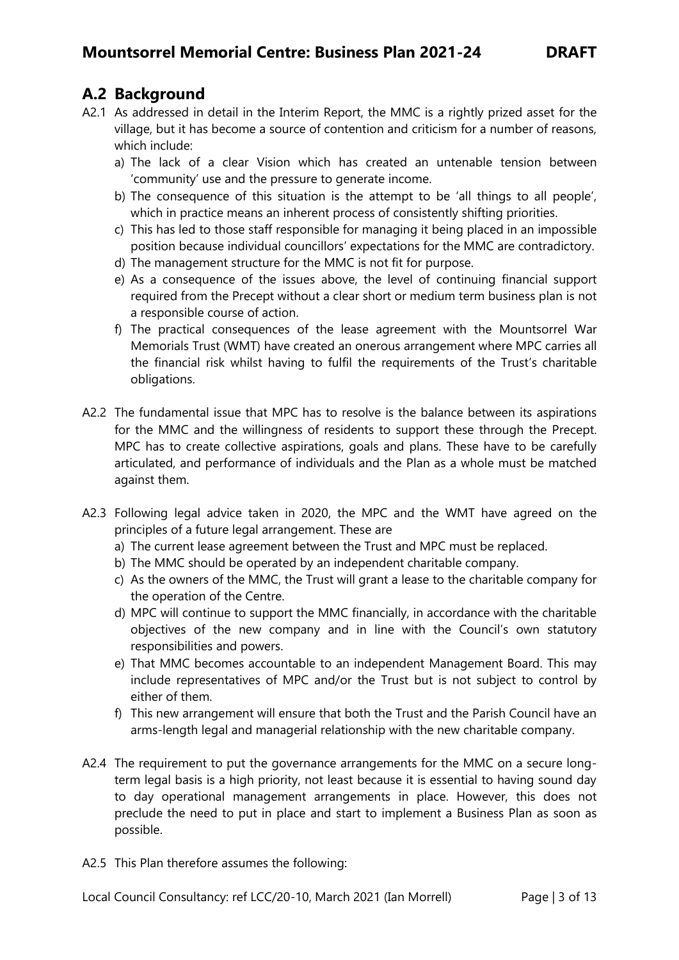# <span id="page-2-0"></span>**A.2 Background**

- A2.1 As addressed in detail in the Interim Report, the MMC is a rightly prized asset for the village, but it has become a source of contention and criticism for a number of reasons, which include:
	- a) The lack of a clear Vision which has created an untenable tension between 'community' use and the pressure to generate income.
	- b) The consequence of this situation is the attempt to be 'all things to all people', which in practice means an inherent process of consistently shifting priorities.
	- c) This has led to those staff responsible for managing it being placed in an impossible position because individual councillors' expectations for the MMC are contradictory.
	- d) The management structure for the MMC is not fit for purpose.
	- e) As a consequence of the issues above, the level of continuing financial support required from the Precept without a clear short or medium term business plan is not a responsible course of action.
	- f) The practical consequences of the lease agreement with the Mountsorrel War Memorials Trust (WMT) have created an onerous arrangement where MPC carries all the financial risk whilst having to fulfil the requirements of the Trust's charitable obligations.
- A2.2 The fundamental issue that MPC has to resolve is the balance between its aspirations for the MMC and the willingness of residents to support these through the Precept. MPC has to create collective aspirations, goals and plans. These have to be carefully articulated, and performance of individuals and the Plan as a whole must be matched against them.
- A2.3 Following legal advice taken in 2020, the MPC and the WMT have agreed on the principles of a future legal arrangement. These are
	- a) The current lease agreement between the Trust and MPC must be replaced.
	- b) The MMC should be operated by an independent charitable company.
	- c) As the owners of the MMC, the Trust will grant a lease to the charitable company for the operation of the Centre.
	- d) MPC will continue to support the MMC financially, in accordance with the charitable objectives of the new company and in line with the Council's own statutory responsibilities and powers.
	- e) That MMC becomes accountable to an independent Management Board. This may include representatives of MPC and/or the Trust but is not subject to control by either of them.
	- f) This new arrangement will ensure that both the Trust and the Parish Council have an arms-length legal and managerial relationship with the new charitable company.
- A2.4 The requirement to put the governance arrangements for the MMC on a secure longterm legal basis is a high priority, not least because it is essential to having sound day to day operational management arrangements in place. However, this does not preclude the need to put in place and start to implement a Business Plan as soon as possible.
- A2.5 This Plan therefore assumes the following: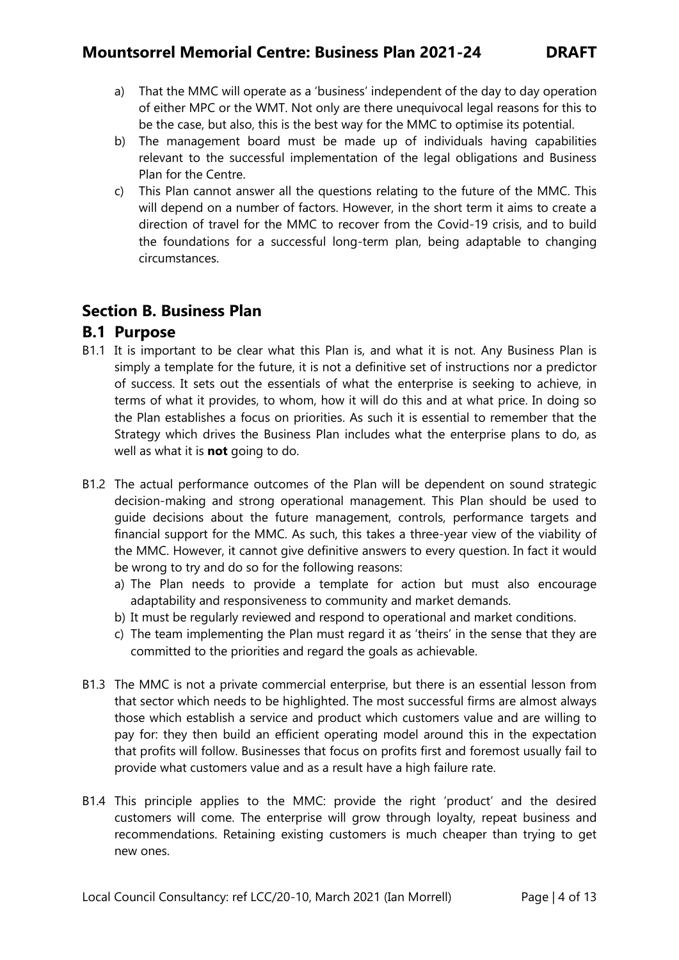- a) That the MMC will operate as a 'business' independent of the day to day operation of either MPC or the WMT. Not only are there unequivocal legal reasons for this to be the case, but also, this is the best way for the MMC to optimise its potential.
- b) The management board must be made up of individuals having capabilities relevant to the successful implementation of the legal obligations and Business Plan for the Centre.
- c) This Plan cannot answer all the questions relating to the future of the MMC. This will depend on a number of factors. However, in the short term it aims to create a direction of travel for the MMC to recover from the Covid-19 crisis, and to build the foundations for a successful long-term plan, being adaptable to changing circumstances.

### <span id="page-3-0"></span>**Section B. Business Plan**

### <span id="page-3-1"></span>**B.1 Purpose**

- B1.1 It is important to be clear what this Plan is, and what it is not. Any Business Plan is simply a template for the future, it is not a definitive set of instructions nor a predictor of success. It sets out the essentials of what the enterprise is seeking to achieve, in terms of what it provides, to whom, how it will do this and at what price. In doing so the Plan establishes a focus on priorities. As such it is essential to remember that the Strategy which drives the Business Plan includes what the enterprise plans to do, as well as what it is **not** going to do.
- B1.2 The actual performance outcomes of the Plan will be dependent on sound strategic decision-making and strong operational management. This Plan should be used to guide decisions about the future management, controls, performance targets and financial support for the MMC. As such, this takes a three-year view of the viability of the MMC. However, it cannot give definitive answers to every question. In fact it would be wrong to try and do so for the following reasons:
	- a) The Plan needs to provide a template for action but must also encourage adaptability and responsiveness to community and market demands.
	- b) It must be regularly reviewed and respond to operational and market conditions.
	- c) The team implementing the Plan must regard it as 'theirs' in the sense that they are committed to the priorities and regard the goals as achievable.
- B1.3 The MMC is not a private commercial enterprise, but there is an essential lesson from that sector which needs to be highlighted. The most successful firms are almost always those which establish a service and product which customers value and are willing to pay for: they then build an efficient operating model around this in the expectation that profits will follow. Businesses that focus on profits first and foremost usually fail to provide what customers value and as a result have a high failure rate.
- B1.4 This principle applies to the MMC: provide the right 'product' and the desired customers will come. The enterprise will grow through loyalty, repeat business and recommendations. Retaining existing customers is much cheaper than trying to get new ones.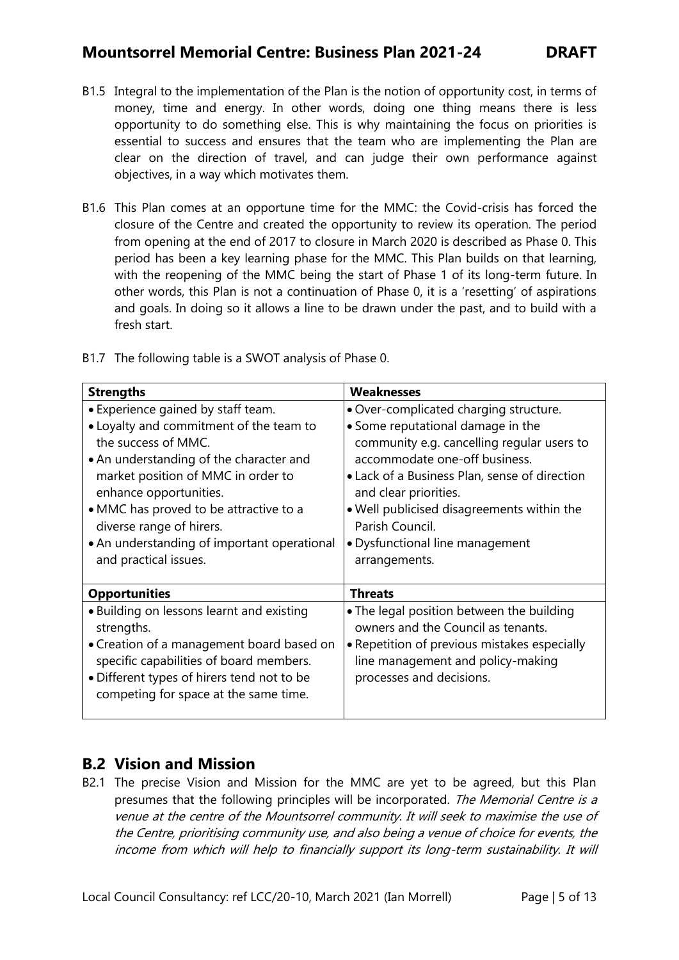## **Mountsorrel Memorial Centre: Business Plan 2021-24 DRAFT**

- B1.5 Integral to the implementation of the Plan is the notion of opportunity cost, in terms of money, time and energy. In other words, doing one thing means there is less opportunity to do something else. This is why maintaining the focus on priorities is essential to success and ensures that the team who are implementing the Plan are clear on the direction of travel, and can judge their own performance against objectives, in a way which motivates them.
- B1.6 This Plan comes at an opportune time for the MMC: the Covid-crisis has forced the closure of the Centre and created the opportunity to review its operation. The period from opening at the end of 2017 to closure in March 2020 is described as Phase 0. This period has been a key learning phase for the MMC. This Plan builds on that learning, with the reopening of the MMC being the start of Phase 1 of its long-term future. In other words, this Plan is not a continuation of Phase 0, it is a 'resetting' of aspirations and goals. In doing so it allows a line to be drawn under the past, and to build with a fresh start.

| <b>Strengths</b>                                                                                                                                                                                                                                                                                                                                              | <b>Weaknesses</b>                                                                                                                                                                                                                                                                                                                                         |
|---------------------------------------------------------------------------------------------------------------------------------------------------------------------------------------------------------------------------------------------------------------------------------------------------------------------------------------------------------------|-----------------------------------------------------------------------------------------------------------------------------------------------------------------------------------------------------------------------------------------------------------------------------------------------------------------------------------------------------------|
| • Experience gained by staff team.<br>• Loyalty and commitment of the team to<br>the success of MMC.<br>• An understanding of the character and<br>market position of MMC in order to<br>enhance opportunities.<br>• MMC has proved to be attractive to a<br>diverse range of hirers.<br>• An understanding of important operational<br>and practical issues. | . Over-complicated charging structure.<br>• Some reputational damage in the<br>community e.g. cancelling regular users to<br>accommodate one-off business.<br>• Lack of a Business Plan, sense of direction<br>and clear priorities.<br>. Well publicised disagreements within the<br>Parish Council.<br>• Dysfunctional line management<br>arrangements. |
| <b>Opportunities</b>                                                                                                                                                                                                                                                                                                                                          | <b>Threats</b>                                                                                                                                                                                                                                                                                                                                            |
| • Building on lessons learnt and existing<br>strengths.<br>• Creation of a management board based on<br>specific capabilities of board members.<br>• Different types of hirers tend not to be<br>competing for space at the same time.                                                                                                                        | • The legal position between the building<br>owners and the Council as tenants.<br>• Repetition of previous mistakes especially<br>line management and policy-making<br>processes and decisions.                                                                                                                                                          |

B1.7 The following table is a SWOT analysis of Phase 0.

## <span id="page-4-0"></span>**B.2 Vision and Mission**

B2.1 The precise Vision and Mission for the MMC are yet to be agreed, but this Plan presumes that the following principles will be incorporated. The Memorial Centre is a venue at the centre of the Mountsorrel community. It will seek to maximise the use of the Centre, prioritising community use, and also being a venue of choice for events, the income from which will help to financially support its long-term sustainability. It will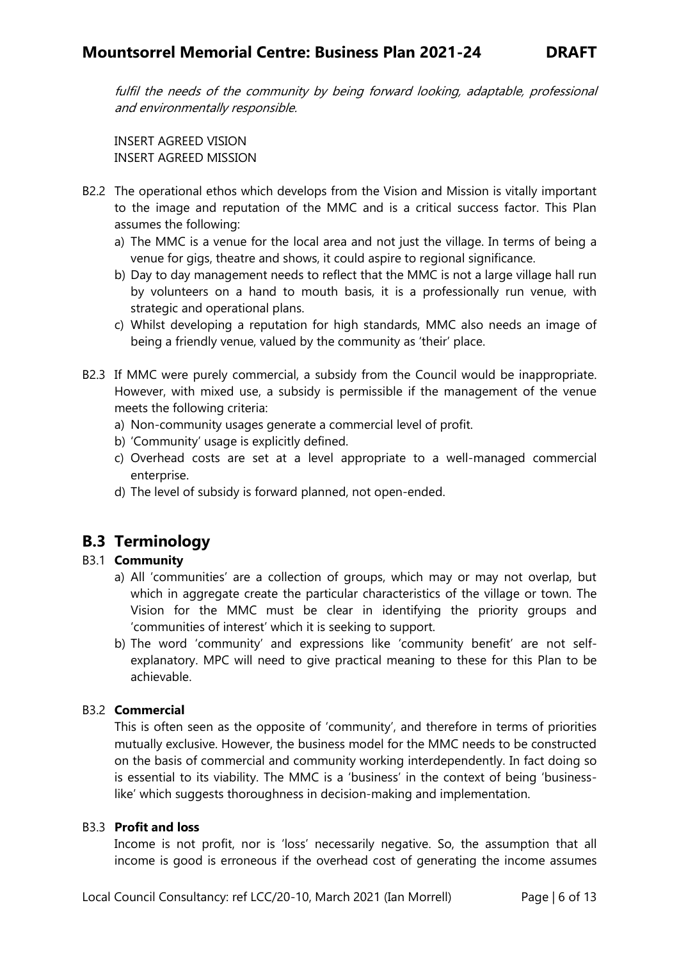fulfil the needs of the community by being forward looking, adaptable, professional and environmentally responsible.

INSERT AGREED VISION INSERT AGREED MISSION

- B2.2 The operational ethos which develops from the Vision and Mission is vitally important to the image and reputation of the MMC and is a critical success factor. This Plan assumes the following:
	- a) The MMC is a venue for the local area and not just the village. In terms of being a venue for gigs, theatre and shows, it could aspire to regional significance.
	- b) Day to day management needs to reflect that the MMC is not a large village hall run by volunteers on a hand to mouth basis, it is a professionally run venue, with strategic and operational plans.
	- c) Whilst developing a reputation for high standards, MMC also needs an image of being a friendly venue, valued by the community as 'their' place.
- B2.3 If MMC were purely commercial, a subsidy from the Council would be inappropriate. However, with mixed use, a subsidy is permissible if the management of the venue meets the following criteria:
	- a) Non-community usages generate a commercial level of profit.
	- b) 'Community' usage is explicitly defined.
	- c) Overhead costs are set at a level appropriate to a well-managed commercial enterprise.
	- d) The level of subsidy is forward planned, not open-ended.

# <span id="page-5-0"></span>**B.3 Terminology**

### B3.1 **Community**

- a) All 'communities' are a collection of groups, which may or may not overlap, but which in aggregate create the particular characteristics of the village or town. The Vision for the MMC must be clear in identifying the priority groups and 'communities of interest' which it is seeking to support.
- b) The word 'community' and expressions like 'community benefit' are not selfexplanatory. MPC will need to give practical meaning to these for this Plan to be achievable.

#### B3.2 **Commercial**

This is often seen as the opposite of 'community', and therefore in terms of priorities mutually exclusive. However, the business model for the MMC needs to be constructed on the basis of commercial and community working interdependently. In fact doing so is essential to its viability. The MMC is a 'business' in the context of being 'businesslike' which suggests thoroughness in decision-making and implementation.

#### B3.3 **Profit and loss**

Income is not profit, nor is 'loss' necessarily negative. So, the assumption that all income is good is erroneous if the overhead cost of generating the income assumes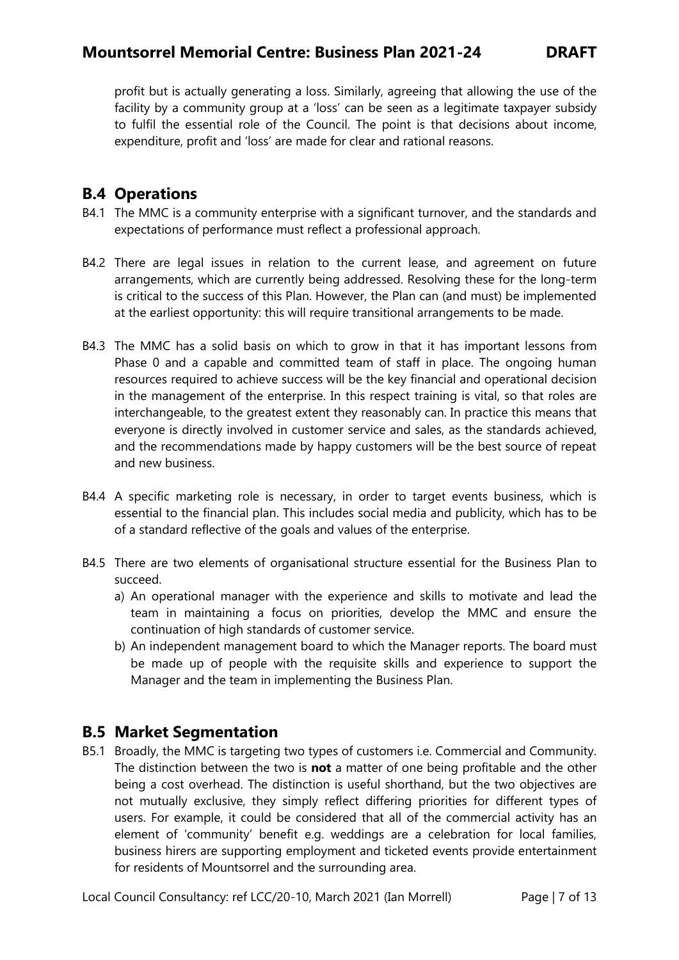## **Mountsorrel Memorial Centre: Business Plan 2021-24 DRAFT**

profit but is actually generating a loss. Similarly, agreeing that allowing the use of the facility by a community group at a 'loss' can be seen as a legitimate taxpayer subsidy to fulfil the essential role of the Council. The point is that decisions about income, expenditure, profit and 'loss' are made for clear and rational reasons.

## <span id="page-6-0"></span>**B.4 Operations**

- B4.1 The MMC is a community enterprise with a significant turnover, and the standards and expectations of performance must reflect a professional approach.
- B4.2 There are legal issues in relation to the current lease, and agreement on future arrangements, which are currently being addressed. Resolving these for the long-term is critical to the success of this Plan. However, the Plan can (and must) be implemented at the earliest opportunity: this will require transitional arrangements to be made.
- B4.3 The MMC has a solid basis on which to grow in that it has important lessons from Phase 0 and a capable and committed team of staff in place. The ongoing human resources required to achieve success will be the key financial and operational decision in the management of the enterprise. In this respect training is vital, so that roles are interchangeable, to the greatest extent they reasonably can. In practice this means that everyone is directly involved in customer service and sales, as the standards achieved, and the recommendations made by happy customers will be the best source of repeat and new business.
- B4.4 A specific marketing role is necessary, in order to target events business, which is essential to the financial plan. This includes social media and publicity, which has to be of a standard reflective of the goals and values of the enterprise.
- B4.5 There are two elements of organisational structure essential for the Business Plan to succeed.
	- a) An operational manager with the experience and skills to motivate and lead the team in maintaining a focus on priorities, develop the MMC and ensure the continuation of high standards of customer service.
	- b) An independent management board to which the Manager reports. The board must be made up of people with the requisite skills and experience to support the Manager and the team in implementing the Business Plan.

## <span id="page-6-1"></span>**B.5 Market Segmentation**

B5.1 Broadly, the MMC is targeting two types of customers i.e. Commercial and Community. The distinction between the two is **not** a matter of one being profitable and the other being a cost overhead. The distinction is useful shorthand, but the two objectives are not mutually exclusive, they simply reflect differing priorities for different types of users. For example, it could be considered that all of the commercial activity has an element of 'community' benefit e.g. weddings are a celebration for local families, business hirers are supporting employment and ticketed events provide entertainment for residents of Mountsorrel and the surrounding area.

Local Council Consultancy: ref LCC/20-10, March 2021 (Ian Morrell) Page | 7 of 13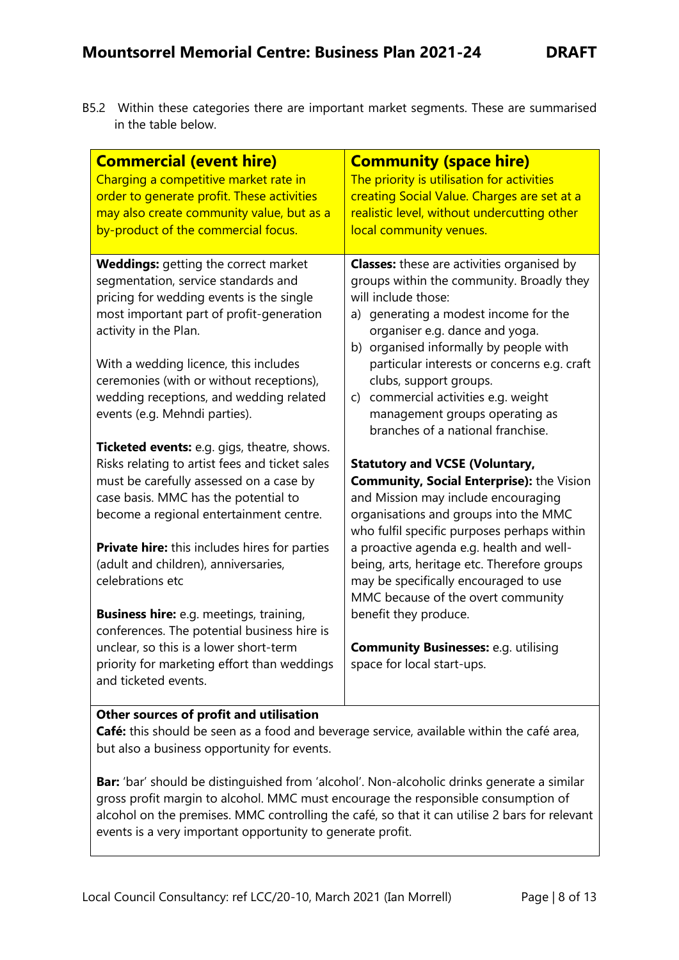B5.2 Within these categories there are important market segments. These are summarised in the table below.

| <b>Commercial (event hire)</b><br>Charging a competitive market rate in<br>order to generate profit. These activities<br>may also create community value, but as a<br>by-product of the commercial focus.                                                                                                                                                            | <b>Community (space hire)</b><br>The priority is utilisation for activities<br>creating Social Value. Charges are set at a<br>realistic level, without undercutting other<br>local community venues.                                                                                                                                                                                                                               |  |  |
|----------------------------------------------------------------------------------------------------------------------------------------------------------------------------------------------------------------------------------------------------------------------------------------------------------------------------------------------------------------------|------------------------------------------------------------------------------------------------------------------------------------------------------------------------------------------------------------------------------------------------------------------------------------------------------------------------------------------------------------------------------------------------------------------------------------|--|--|
| <b>Weddings:</b> getting the correct market<br>segmentation, service standards and<br>pricing for wedding events is the single<br>most important part of profit-generation<br>activity in the Plan.<br>With a wedding licence, this includes<br>ceremonies (with or without receptions),<br>wedding receptions, and wedding related<br>events (e.g. Mehndi parties). | <b>Classes:</b> these are activities organised by<br>groups within the community. Broadly they<br>will include those:<br>a) generating a modest income for the<br>organiser e.g. dance and yoga.<br>b) organised informally by people with<br>particular interests or concerns e.g. craft<br>clubs, support groups.<br>c) commercial activities e.g. weight<br>management groups operating as<br>branches of a national franchise. |  |  |
| Ticketed events: e.g. gigs, theatre, shows.<br>Risks relating to artist fees and ticket sales<br>must be carefully assessed on a case by<br>case basis. MMC has the potential to<br>become a regional entertainment centre.                                                                                                                                          | <b>Statutory and VCSE (Voluntary,</b><br><b>Community, Social Enterprise): the Vision</b><br>and Mission may include encouraging<br>organisations and groups into the MMC<br>who fulfil specific purposes perhaps within                                                                                                                                                                                                           |  |  |
| <b>Private hire:</b> this includes hires for parties<br>(adult and children), anniversaries,<br>celebrations etc                                                                                                                                                                                                                                                     | a proactive agenda e.g. health and well-<br>being, arts, heritage etc. Therefore groups<br>may be specifically encouraged to use<br>MMC because of the overt community                                                                                                                                                                                                                                                             |  |  |
| <b>Business hire:</b> e.g. meetings, training,<br>conferences. The potential business hire is<br>unclear, so this is a lower short-term<br>priority for marketing effort than weddings<br>and ticketed events.                                                                                                                                                       | benefit they produce.<br><b>Community Businesses: e.g. utilising</b><br>space for local start-ups.                                                                                                                                                                                                                                                                                                                                 |  |  |
| Other sources of profit and utilisation<br>Café: this should be seen as a food and beverage service, available within the café area,<br>but also a business opportunity for events.                                                                                                                                                                                  |                                                                                                                                                                                                                                                                                                                                                                                                                                    |  |  |

Bar: 'bar' should be distinguished from 'alcohol'. Non-alcoholic drinks generate a similar gross profit margin to alcohol. MMC must encourage the responsible consumption of alcohol on the premises. MMC controlling the café, so that it can utilise 2 bars for relevant events is a very important opportunity to generate profit.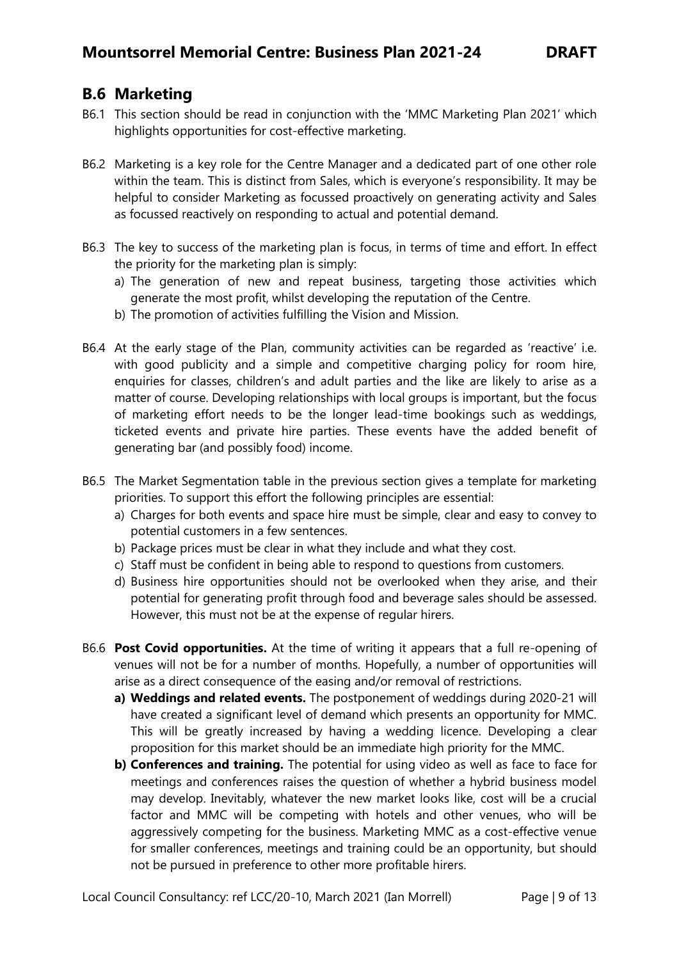## **B.6 Marketing**

- B6.1 This section should be read in conjunction with the 'MMC Marketing Plan 2021' which highlights opportunities for cost-effective marketing.
- B6.2 Marketing is a key role for the Centre Manager and a dedicated part of one other role within the team. This is distinct from Sales, which is everyone's responsibility. It may be helpful to consider Marketing as focussed proactively on generating activity and Sales as focussed reactively on responding to actual and potential demand.
- B6.3 The key to success of the marketing plan is focus, in terms of time and effort. In effect the priority for the marketing plan is simply:
	- a) The generation of new and repeat business, targeting those activities which generate the most profit, whilst developing the reputation of the Centre.
	- b) The promotion of activities fulfilling the Vision and Mission.
- B6.4 At the early stage of the Plan, community activities can be regarded as 'reactive' i.e. with good publicity and a simple and competitive charging policy for room hire, enquiries for classes, children's and adult parties and the like are likely to arise as a matter of course. Developing relationships with local groups is important, but the focus of marketing effort needs to be the longer lead-time bookings such as weddings, ticketed events and private hire parties. These events have the added benefit of generating bar (and possibly food) income.
- B6.5 The Market Segmentation table in the previous section gives a template for marketing priorities. To support this effort the following principles are essential:
	- a) Charges for both events and space hire must be simple, clear and easy to convey to potential customers in a few sentences.
	- b) Package prices must be clear in what they include and what they cost.
	- c) Staff must be confident in being able to respond to questions from customers.
	- d) Business hire opportunities should not be overlooked when they arise, and their potential for generating profit through food and beverage sales should be assessed. However, this must not be at the expense of regular hirers.
- B6.6 **Post Covid opportunities.** At the time of writing it appears that a full re-opening of venues will not be for a number of months. Hopefully, a number of opportunities will arise as a direct consequence of the easing and/or removal of restrictions.
	- **a) Weddings and related events.** The postponement of weddings during 2020-21 will have created a significant level of demand which presents an opportunity for MMC. This will be greatly increased by having a wedding licence. Developing a clear proposition for this market should be an immediate high priority for the MMC.
	- **b) Conferences and training.** The potential for using video as well as face to face for meetings and conferences raises the question of whether a hybrid business model may develop. Inevitably, whatever the new market looks like, cost will be a crucial factor and MMC will be competing with hotels and other venues, who will be aggressively competing for the business. Marketing MMC as a cost-effective venue for smaller conferences, meetings and training could be an opportunity, but should not be pursued in preference to other more profitable hirers.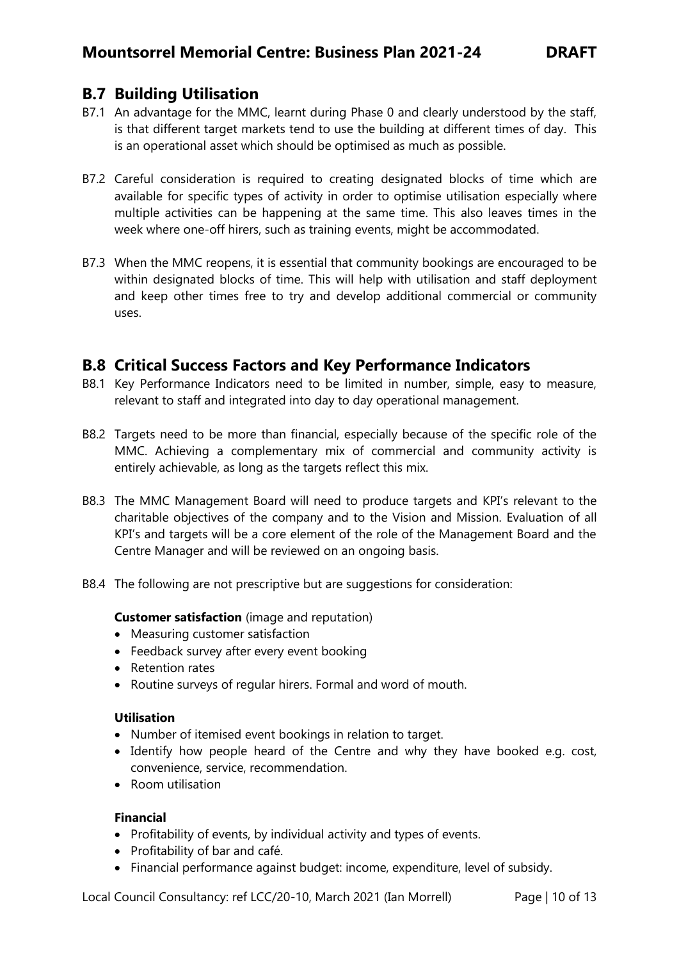### <span id="page-9-0"></span>**B.7 Building Utilisation**

- B7.1 An advantage for the MMC, learnt during Phase 0 and clearly understood by the staff, is that different target markets tend to use the building at different times of day. This is an operational asset which should be optimised as much as possible.
- B7.2 Careful consideration is required to creating designated blocks of time which are available for specific types of activity in order to optimise utilisation especially where multiple activities can be happening at the same time. This also leaves times in the week where one-off hirers, such as training events, might be accommodated.
- B7.3 When the MMC reopens, it is essential that community bookings are encouraged to be within designated blocks of time. This will help with utilisation and staff deployment and keep other times free to try and develop additional commercial or community uses.

### <span id="page-9-1"></span>**B.8 Critical Success Factors and Key Performance Indicators**

- B8.1 Key Performance Indicators need to be limited in number, simple, easy to measure, relevant to staff and integrated into day to day operational management.
- B8.2 Targets need to be more than financial, especially because of the specific role of the MMC. Achieving a complementary mix of commercial and community activity is entirely achievable, as long as the targets reflect this mix.
- B8.3 The MMC Management Board will need to produce targets and KPI's relevant to the charitable objectives of the company and to the Vision and Mission. Evaluation of all KPI's and targets will be a core element of the role of the Management Board and the Centre Manager and will be reviewed on an ongoing basis.
- B8.4 The following are not prescriptive but are suggestions for consideration:

#### **Customer satisfaction** (image and reputation)

- Measuring customer satisfaction
- Feedback survey after every event booking
- Retention rates
- Routine surveys of regular hirers. Formal and word of mouth.

#### **Utilisation**

- Number of itemised event bookings in relation to target.
- Identify how people heard of the Centre and why they have booked e.g. cost, convenience, service, recommendation.
- Room utilisation

#### **Financial**

- Profitability of events, by individual activity and types of events.
- Profitability of bar and café.
- Financial performance against budget: income, expenditure, level of subsidy.

Local Council Consultancy: ref LCC/20-10, March 2021 (Ian Morrell) Page | 10 of 13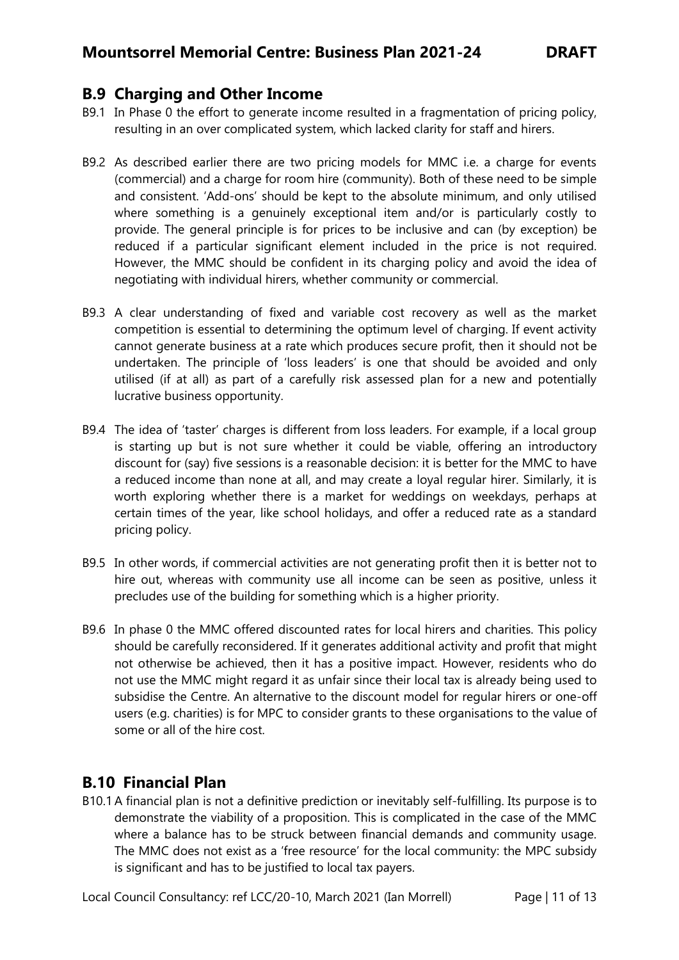### <span id="page-10-0"></span>**B.9 Charging and Other Income**

- B9.1 In Phase 0 the effort to generate income resulted in a fragmentation of pricing policy, resulting in an over complicated system, which lacked clarity for staff and hirers.
- B9.2 As described earlier there are two pricing models for MMC i.e. a charge for events (commercial) and a charge for room hire (community). Both of these need to be simple and consistent. 'Add-ons' should be kept to the absolute minimum, and only utilised where something is a genuinely exceptional item and/or is particularly costly to provide. The general principle is for prices to be inclusive and can (by exception) be reduced if a particular significant element included in the price is not required. However, the MMC should be confident in its charging policy and avoid the idea of negotiating with individual hirers, whether community or commercial.
- B9.3 A clear understanding of fixed and variable cost recovery as well as the market competition is essential to determining the optimum level of charging. If event activity cannot generate business at a rate which produces secure profit, then it should not be undertaken. The principle of 'loss leaders' is one that should be avoided and only utilised (if at all) as part of a carefully risk assessed plan for a new and potentially lucrative business opportunity.
- B9.4 The idea of 'taster' charges is different from loss leaders. For example, if a local group is starting up but is not sure whether it could be viable, offering an introductory discount for (say) five sessions is a reasonable decision: it is better for the MMC to have a reduced income than none at all, and may create a loyal regular hirer. Similarly, it is worth exploring whether there is a market for weddings on weekdays, perhaps at certain times of the year, like school holidays, and offer a reduced rate as a standard pricing policy.
- B9.5 In other words, if commercial activities are not generating profit then it is better not to hire out, whereas with community use all income can be seen as positive, unless it precludes use of the building for something which is a higher priority.
- B9.6 In phase 0 the MMC offered discounted rates for local hirers and charities. This policy should be carefully reconsidered. If it generates additional activity and profit that might not otherwise be achieved, then it has a positive impact. However, residents who do not use the MMC might regard it as unfair since their local tax is already being used to subsidise the Centre. An alternative to the discount model for regular hirers or one-off users (e.g. charities) is for MPC to consider grants to these organisations to the value of some or all of the hire cost.

## <span id="page-10-1"></span>**B.10 Financial Plan**

B10.1A financial plan is not a definitive prediction or inevitably self-fulfilling. Its purpose is to demonstrate the viability of a proposition. This is complicated in the case of the MMC where a balance has to be struck between financial demands and community usage. The MMC does not exist as a 'free resource' for the local community: the MPC subsidy is significant and has to be justified to local tax payers.

Local Council Consultancy: ref LCC/20-10, March 2021 (Ian Morrell) Page | 11 of 13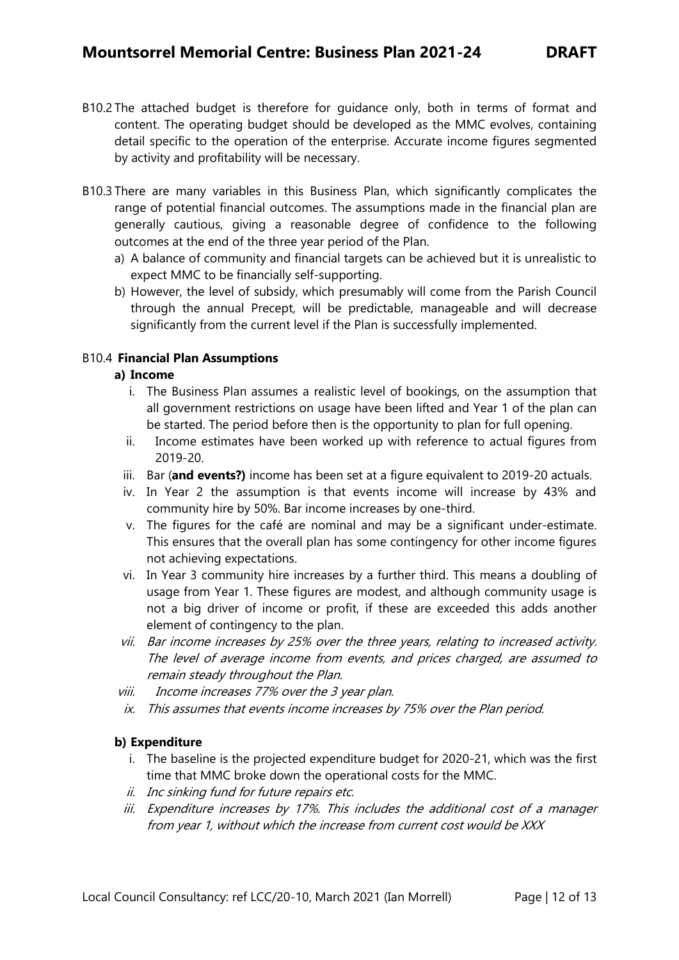- B10.2 The attached budget is therefore for guidance only, both in terms of format and content. The operating budget should be developed as the MMC evolves, containing detail specific to the operation of the enterprise. Accurate income figures segmented by activity and profitability will be necessary.
- B10.3 There are many variables in this Business Plan, which significantly complicates the range of potential financial outcomes. The assumptions made in the financial plan are generally cautious, giving a reasonable degree of confidence to the following outcomes at the end of the three year period of the Plan.
	- a) A balance of community and financial targets can be achieved but it is unrealistic to expect MMC to be financially self-supporting.
	- b) However, the level of subsidy, which presumably will come from the Parish Council through the annual Precept, will be predictable, manageable and will decrease significantly from the current level if the Plan is successfully implemented.

#### B10.4 **Financial Plan Assumptions**

#### **a) Income**

- i. The Business Plan assumes a realistic level of bookings, on the assumption that all government restrictions on usage have been lifted and Year 1 of the plan can be started. The period before then is the opportunity to plan for full opening.
- ii. Income estimates have been worked up with reference to actual figures from 2019-20.
- iii. Bar (**and events?)** income has been set at a figure equivalent to 2019-20 actuals.
- iv. In Year 2 the assumption is that events income will increase by 43% and community hire by 50%. Bar income increases by one-third.
- v. The figures for the café are nominal and may be a significant under-estimate. This ensures that the overall plan has some contingency for other income figures not achieving expectations.
- vi. In Year 3 community hire increases by a further third. This means a doubling of usage from Year 1. These figures are modest, and although community usage is not a big driver of income or profit, if these are exceeded this adds another element of contingency to the plan.
- vii. Bar income increases by 25% over the three years, relating to increased activity. The level of average income from events, and prices charged, are assumed to remain steady throughout the Plan.
- viii. Income increases 77% over the 3 year plan.
- ix. This assumes that events income increases by 75% over the Plan period.

#### **b) Expenditure**

- i. The baseline is the projected expenditure budget for 2020-21, which was the first time that MMC broke down the operational costs for the MMC.
- ii. Inc sinking fund for future repairs etc.
- iii. Expenditure increases by 17%. This includes the additional cost of a manager from year 1, without which the increase from current cost would be XXX